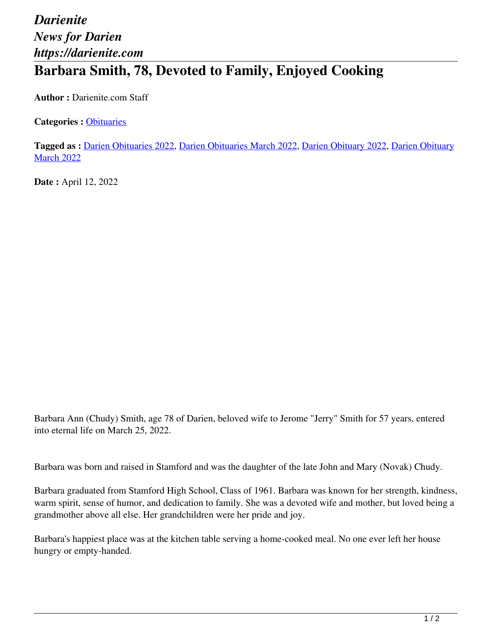## *Darienite News for Darien https://darienite.com* **Barbara Smith, 78, Devoted to Family, Enjoyed Cooking**

**Author :** Darienite.com Staff

**Categories :** [Obituaries](https://darienite.com/category/obituaries)

**Tagged as :** Darien Obituaries 2022, Darien Obituaries March 2022, Darien Obituary 2022, Darien Obituary **March 2022** 

**Date :** April 12, 2022

Barbara Ann (Chudy) Smith, age 78 of Darien, beloved wife to Jerome "Jerry" Smith for 57 years, entered into eternal life on March 25, 2022.

Barbara was born and raised in Stamford and was the daughter of the late John and Mary (Novak) Chudy.

Barbara graduated from Stamford High School, Class of 1961. Barbara was known for her strength, kindness, warm spirit, sense of humor, and dedication to family. She was a devoted wife and mother, but loved being a grandmother above all else. Her grandchildren were her pride and joy.

Barbara's happiest place was at the kitchen table serving a home-cooked meal. No one ever left her house hungry or empty-handed.